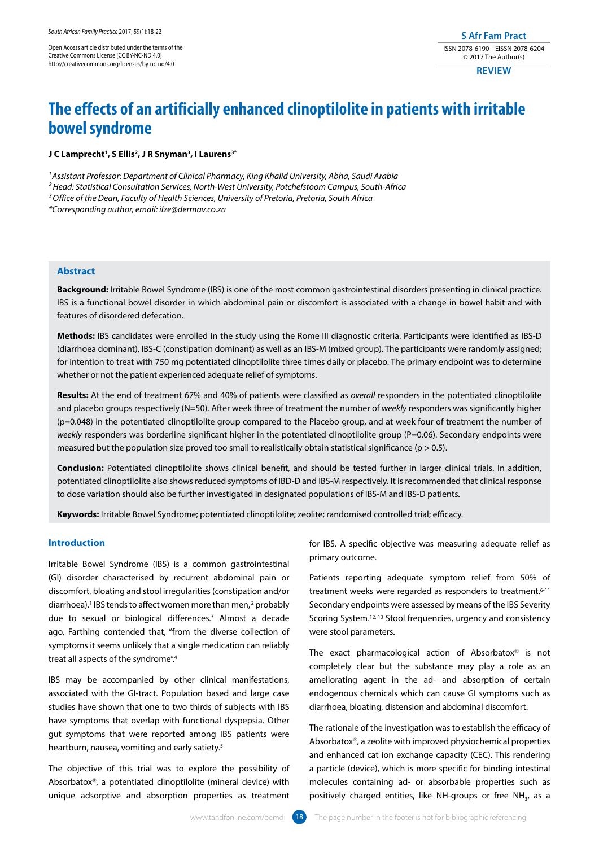Open Access article distributed under the terms of the Creative Commons License [CC BY-NC-ND 4.0] http://creativecommons.org/licenses/by-nc-nd/4.0

**S Afr Fam Pract** ISSN 2078-6190 EISSN 2078-6204 © 2017 The Author(s)

**REVIEW**

# **The effects of an artificially enhanced clinoptilolite in patients with irritable bowel syndrome**

### J C Lamprecht<sup>1</sup>, S Ellis<sup>2</sup>, J R Snyman<sup>3</sup>, I Laurens<sup>3\*</sup>

*1 Assistant Professor: Department of Clinical Pharmacy, King Khalid University, Abha, Saudi Arabia 2 Head: Statistical Consultation Services, North-West University, Potchefstoom Campus, South-Africa 3 Office of the Dean, Faculty of Health Sciences, University of Pretoria, Pretoria, South Africa \*Corresponding author, email: ilze@dermav.co.za*

# **Abstract**

**Background:** Irritable Bowel Syndrome (IBS) is one of the most common gastrointestinal disorders presenting in clinical practice. IBS is a functional bowel disorder in which abdominal pain or discomfort is associated with a change in bowel habit and with features of disordered defecation.

**Methods:** IBS candidates were enrolled in the study using the Rome III diagnostic criteria. Participants were identified as IBS-D (diarrhoea dominant), IBS-C (constipation dominant) as well as an IBS-M (mixed group). The participants were randomly assigned; for intention to treat with 750 mg potentiated clinoptilolite three times daily or placebo. The primary endpoint was to determine whether or not the patient experienced adequate relief of symptoms.

**Results:** At the end of treatment 67% and 40% of patients were classified as *overall* responders in the potentiated clinoptilolite and placebo groups respectively (N=50). After week three of treatment the number of *weekly* responders was significantly higher (p=0.048) in the potentiated clinoptilolite group compared to the Placebo group, and at week four of treatment the number of *weekly* responders was borderline significant higher in the potentiated clinoptilolite group (P=0.06). Secondary endpoints were measured but the population size proved too small to realistically obtain statistical significance ( $p > 0.5$ ).

**Conclusion:** Potentiated clinoptilolite shows clinical benefit, and should be tested further in larger clinical trials. In addition, potentiated clinoptilolite also shows reduced symptoms of IBD-D and IBS-M respectively. It is recommended that clinical response to dose variation should also be further investigated in designated populations of IBS-M and IBS-D patients.

**Keywords:** Irritable Bowel Syndrome; potentiated clinoptilolite; zeolite; randomised controlled trial; efficacy.

# **Introduction**

Irritable Bowel Syndrome (IBS) is a common gastrointestinal (GI) disorder characterised by recurrent abdominal pain or discomfort, bloating and stool irregularities (constipation and/or diarrhoea).<sup>1</sup> IBS tends to affect women more than men,<sup>2</sup> probably due to sexual or biological differences.3 Almost a decade ago, Farthing contended that, "from the diverse collection of symptoms it seems unlikely that a single medication can reliably treat all aspects of the syndrome".4

IBS may be accompanied by other clinical manifestations, associated with the GI-tract. Population based and large case studies have shown that one to two thirds of subjects with IBS have symptoms that overlap with functional dyspepsia. Other gut symptoms that were reported among IBS patients were heartburn, nausea, vomiting and early satiety.5

The objective of this trial was to explore the possibility of Absorbatox*®*, a potentiated clinoptilolite (mineral device) with unique adsorptive and absorption properties as treatment

for IBS. A specific objective was measuring adequate relief as primary outcome.

Patients reporting adequate symptom relief from 50% of treatment weeks were regarded as responders to treatment. $6-11$ Secondary endpoints were assessed by means of the IBS Severity Scoring System.<sup>12, 13</sup> Stool frequencies, urgency and consistency were stool parameters.

The exact pharmacological action of Absorbatox*®* is not completely clear but the substance may play a role as an ameliorating agent in the ad- and absorption of certain endogenous chemicals which can cause GI symptoms such as diarrhoea, bloating, distension and abdominal discomfort.

The rationale of the investigation was to establish the efficacy of Absorbatox*®*, a zeolite with improved physiochemical properties and enhanced cat ion exchange capacity (CEC). This rendering a particle (device), which is more specific for binding intestinal molecules containing ad- or absorbable properties such as positively charged entities, like NH-groups or free NH<sub>3</sub>, as a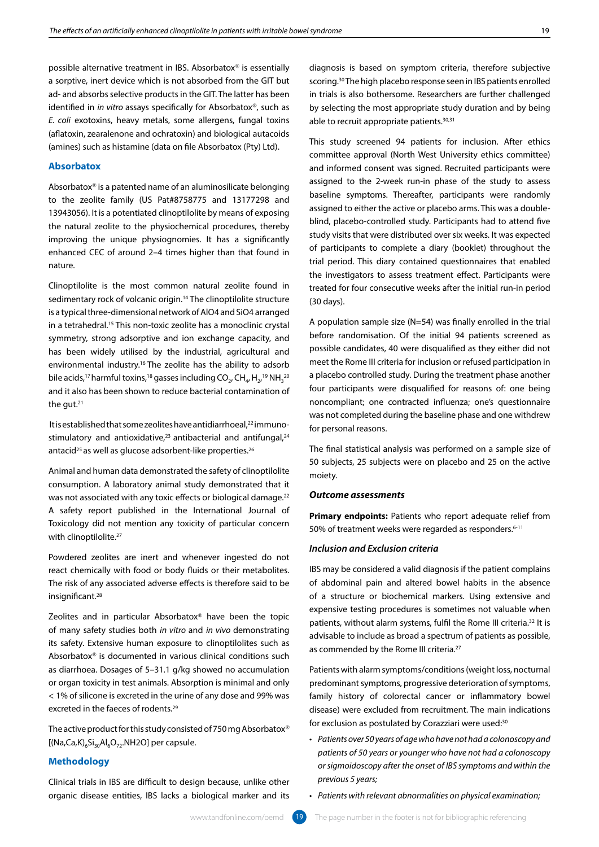possible alternative treatment in IBS. Absorbatox*®* is essentially a sorptive, inert device which is not absorbed from the GIT but ad- and absorbs selective products in the GIT. The latter has been identified in *in vitro* assays specifically for Absorbatox*®*, such as *E. coli* exotoxins, heavy metals, some allergens, fungal toxins (aflatoxin, zearalenone and ochratoxin) and biological autacoids (amines) such as histamine (data on file Absorbatox (Pty) Ltd).

# **Absorbatox**

Absorbatox*®* is a patented name of an aluminosilicate belonging to the zeolite family (US Pat#8758775 and 13177298 and 13943056). It is a potentiated clinoptilolite by means of exposing the natural zeolite to the physiochemical procedures, thereby improving the unique physiognomies. It has a significantly enhanced CEC of around 2–4 times higher than that found in nature.

Clinoptilolite is the most common natural zeolite found in sedimentary rock of volcanic origin.14 The clinoptilolite structure is a typical three-dimensional network of AlO4 and SiO4 arranged in a tetrahedral.15 This non-toxic zeolite has a monoclinic crystal symmetry, strong adsorptive and ion exchange capacity, and has been widely utilised by the industrial, agricultural and environmental industry.<sup>16</sup> The zeolite has the ability to adsorb bile acids,<sup>17</sup> harmful toxins,<sup>18</sup> gasses including CO<sub>2</sub>, CH<sub>4</sub>, H<sub>2</sub>,19 NH<sub>3</sub>20 and it also has been shown to reduce bacterial contamination of the gut.<sup>21</sup>

It is established that some zeolites have antidiarrhoeal,<sup>22</sup> immunostimulatory and antioxidative, $23$  antibacterial and antifungal, $24$ antacid<sup>25</sup> as well as glucose adsorbent-like properties.<sup>26</sup>

Animal and human data demonstrated the safety of clinoptilolite consumption. A laboratory animal study demonstrated that it was not associated with any toxic effects or biological damage.<sup>22</sup> A safety report published in the International Journal of Toxicology did not mention any toxicity of particular concern with clinoptilolite.<sup>27</sup>

Powdered zeolites are inert and whenever ingested do not react chemically with food or body fluids or their metabolites. The risk of any associated adverse effects is therefore said to be insignificant.28

Zeolites and in particular Absorbatox*®* have been the topic of many safety studies both *in vitro* and *in vivo* demonstrating its safety. Extensive human exposure to clinoptilolites such as Absorbatox*®* is documented in various clinical conditions such as diarrhoea. Dosages of 5–31.1 g/kg showed no accumulation or organ toxicity in test animals. Absorption is minimal and only < 1% of silicone is excreted in the urine of any dose and 99% was excreted in the faeces of rodents.29

The active product for this study consisted of 750 mg Absorbatox*®*  $[(Na, Ca, K)_{6}Si_{30}Al_{6}O_{72}.NH2O]$  per capsule.

# **Methodology**

Clinical trials in IBS are difficult to design because, unlike other organic disease entities, IBS lacks a biological marker and its diagnosis is based on symptom criteria, therefore subjective scoring.30 The high placebo response seen in IBS patients enrolled in trials is also bothersome. Researchers are further challenged by selecting the most appropriate study duration and by being able to recruit appropriate patients.<sup>30,31</sup>

This study screened 94 patients for inclusion. After ethics committee approval (North West University ethics committee) and informed consent was signed. Recruited participants were assigned to the 2-week run-in phase of the study to assess baseline symptoms. Thereafter, participants were randomly assigned to either the active or placebo arms. This was a doubleblind, placebo-controlled study. Participants had to attend five study visits that were distributed over six weeks. It was expected of participants to complete a diary (booklet) throughout the trial period. This diary contained questionnaires that enabled the investigators to assess treatment effect. Participants were treated for four consecutive weeks after the initial run-in period (30 days).

A population sample size (N=54) was finally enrolled in the trial before randomisation. Of the initial 94 patients screened as possible candidates, 40 were disqualified as they either did not meet the Rome III criteria for inclusion or refused participation in a placebo controlled study. During the treatment phase another four participants were disqualified for reasons of: one being noncompliant; one contracted influenza; one's questionnaire was not completed during the baseline phase and one withdrew for personal reasons.

The final statistical analysis was performed on a sample size of 50 subjects, 25 subjects were on placebo and 25 on the active moiety.

# *Outcome assessments*

**Primary endpoints:** Patients who report adequate relief from 50% of treatment weeks were regarded as responders.<sup>6-11</sup>

# *Inclusion and Exclusion criteria*

IBS may be considered a valid diagnosis if the patient complains of abdominal pain and altered bowel habits in the absence of a structure or biochemical markers. Using extensive and expensive testing procedures is sometimes not valuable when patients, without alarm systems, fulfil the Rome III criteria.<sup>32</sup> It is advisable to include as broad a spectrum of patients as possible, as commended by the Rome III criteria.<sup>27</sup>

Patients with alarm symptoms/conditions (weight loss, nocturnal predominant symptoms, progressive deterioration of symptoms, family history of colorectal cancer or inflammatory bowel disease) were excluded from recruitment. The main indications for exclusion as postulated by Corazziari were used:<sup>30</sup>

- *• Patients over 50 years of age who have not had a colonoscopy and patients of 50 years or younger who have not had a colonoscopy or sigmoidoscopy after the onset of IBS symptoms and within the previous 5 years;*
- *• Patients with relevant abnormalities on physical examination;*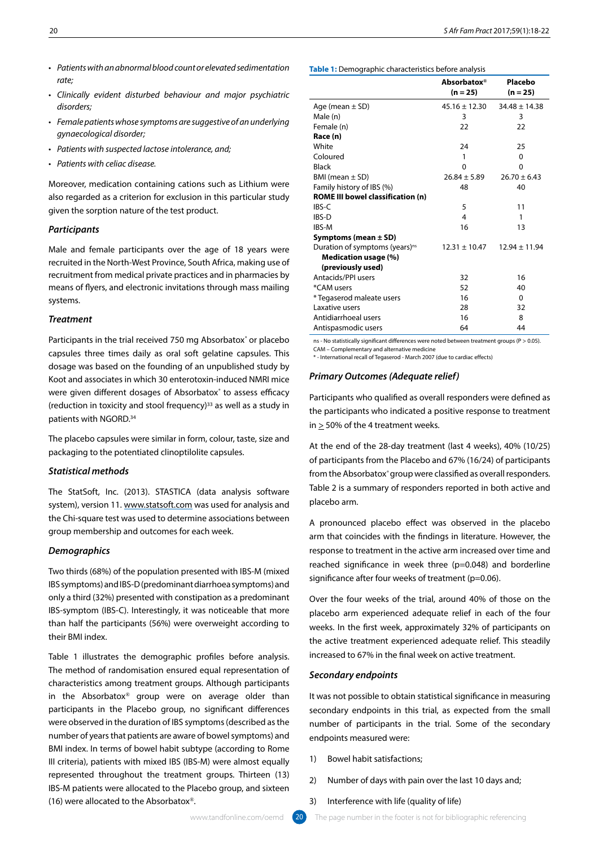- *• Patients with an abnormal blood count or elevated sedimentation rate;*
- *• Clinically evident disturbed behaviour and major psychiatric disorders;*
- *• Female patients whose symptoms are suggestive of an underlying gynaecological disorder;*
- *• Patients with suspected lactose intolerance, and;*
- *• Patients with celiac disease.*

Moreover, medication containing cations such as Lithium were also regarded as a criterion for exclusion in this particular study given the sorption nature of the test product.

# *Participants*

Male and female participants over the age of 18 years were recruited in the North-West Province, South Africa, making use of recruitment from medical private practices and in pharmacies by means of flyers, and electronic invitations through mass mailing systems.

# *Treatment*

Participants in the trial received 750 mg Absorbatox*®* or placebo capsules three times daily as oral soft gelatine capsules. This dosage was based on the founding of an unpublished study by Koot and associates in which 30 enterotoxin-induced NMRI mice were given different dosages of Absorbatox*®* to assess efficacy (reduction in toxicity and stool frequency) $33$  as well as a study in patients with NGORD.34

The placebo capsules were similar in form, colour, taste, size and packaging to the potentiated clinoptilolite capsules.

# *Statistical methods*

The StatSoft, Inc. (2013). STASTICA (data analysis software system), version 11. www.statsoft.com was used for analysis and the Chi-square test was used to determine associations between group membership and outcomes for each week.

# *Demographics*

Two thirds (68%) of the population presented with IBS-M (mixed IBS symptoms) and IBS-D (predominant diarrhoea symptoms) and only a third (32%) presented with constipation as a predominant IBS-symptom (IBS-C). Interestingly, it was noticeable that more than half the participants (56%) were overweight according to their BMI index.

Table 1 illustrates the demographic profiles before analysis. The method of randomisation ensured equal representation of characteristics among treatment groups. Although participants in the Absorbatox*®* group were on average older than participants in the Placebo group, no significant differences were observed in the duration of IBS symptoms (described as the number of years that patients are aware of bowel symptoms) and BMI index. In terms of bowel habit subtype (according to Rome III criteria), patients with mixed IBS (IBS-M) were almost equally represented throughout the treatment groups. Thirteen (13) IBS-M patients were allocated to the Placebo group, and sixteen (16) were allocated to the Absorbatox*®*.

#### **Table 1:** Demographic characteristics before analysis

|                                            | <b>Absorbatox®</b><br>$(n = 25)$ | Placebo<br>$(n = 25)$ |
|--------------------------------------------|----------------------------------|-----------------------|
| Age (mean $\pm$ SD)                        | $45.16 \pm 12.30$                | $34.48 \pm 14.38$     |
| Male (n)                                   | 3                                | 3                     |
| Female (n)                                 | 22                               | 22                    |
| Race (n)                                   |                                  |                       |
| White                                      | 24                               | 25                    |
| Coloured                                   | 1                                | $\Omega$              |
| Black                                      | 0                                | 0                     |
| BMI (mean $\pm$ SD)                        | $26.84 \pm 5.89$                 | $26.70 \pm 6.43$      |
| Family history of IBS (%)                  | 48                               | 40                    |
| <b>ROME III bowel classification (n)</b>   |                                  |                       |
| IRS-C                                      | 5                                | 11                    |
| IBS-D                                      | 4                                | 1                     |
| IBS-M                                      | 16                               | 13                    |
| Symptoms (mean $\pm$ SD)                   |                                  |                       |
| Duration of symptoms (years) <sup>ns</sup> | $12.31 \pm 10.47$                | $12.94 \pm 11.94$     |
| Medication usage (%)                       |                                  |                       |
| (previously used)                          |                                  |                       |
| <b>Antacids/PPI users</b>                  | 32                               | 16                    |
| *CAM users                                 | 52                               | 40                    |
| *Tegaserod maleate users                   | 16                               | 0                     |
| Laxative users                             | 28                               | 32                    |
| Antidiarrhoeal users                       | 16                               | 8                     |
| Antispasmodic users                        | 64                               | 44                    |

ns - No statistically significant differences were noted between treatment groups (P > 0.05). CAM – Complementary and alternative medicin

\* - International recall of Tegaserod - March 2007 (due to cardiac effects)

# *Primary Outcomes (Adequate relief)*

Participants who qualified as overall responders were defined as the participants who indicated a positive response to treatment in > 50% of the 4 treatment weeks.

At the end of the 28-day treatment (last 4 weeks), 40% (10/25) of participants from the Placebo and 67% (16/24) of participants from the Absorbatox*®* group were classified as overall responders. Table 2 is a summary of responders reported in both active and placebo arm.

A pronounced placebo effect was observed in the placebo arm that coincides with the findings in literature. However, the response to treatment in the active arm increased over time and reached significance in week three (p=0.048) and borderline significance after four weeks of treatment (p=0.06).

Over the four weeks of the trial, around 40% of those on the placebo arm experienced adequate relief in each of the four weeks. In the first week, approximately 32% of participants on the active treatment experienced adequate relief. This steadily increased to 67% in the final week on active treatment.

# *Secondary endpoints*

It was not possible to obtain statistical significance in measuring secondary endpoints in this trial, as expected from the small number of participants in the trial. Some of the secondary endpoints measured were:

- 1) Bowel habit satisfactions;
- 2) Number of days with pain over the last 10 days and;
- 3) Interference with life (quality of life)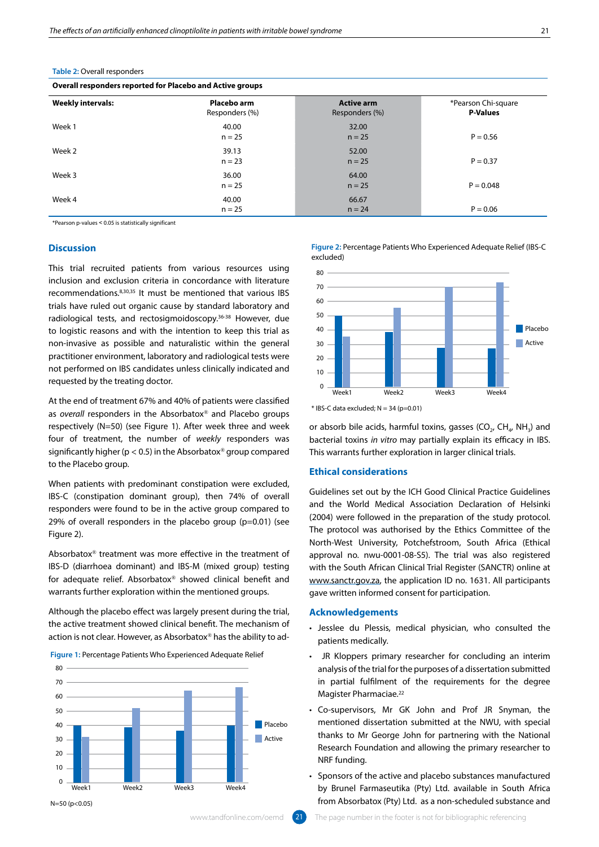| Table 2: Overall responders |  |
|-----------------------------|--|
|-----------------------------|--|

**Overall responders reported for Placebo and Active groups**

| <b>Weekly intervals:</b> | Placebo arm<br>Responders (%) | <b>Active arm</b><br>Responders (%) | *Pearson Chi-square<br><b>P-Values</b> |
|--------------------------|-------------------------------|-------------------------------------|----------------------------------------|
| Week 1                   | 40.00<br>$n = 25$             | 32.00<br>$n = 25$                   | $P = 0.56$                             |
| Week 2                   | 39.13<br>$n = 23$             | 52.00<br>$n = 25$                   | $P = 0.37$                             |
| Week 3                   | 36.00<br>$n = 25$             | 64.00<br>$n = 25$                   | $P = 0.048$                            |
| Week 4                   | 40.00<br>$n = 25$             | 66.67<br>$n = 24$                   | $P = 0.06$                             |

\*Pearson p-values ˂ 0.05 is statistically significant

# **Discussion**

This trial recruited patients from various resources using inclusion and exclusion criteria in concordance with literature recommendations.8,30,35 It must be mentioned that various IBS trials have ruled out organic cause by standard laboratory and radiological tests, and rectosigmoidoscopy.36-38 However, due to logistic reasons and with the intention to keep this trial as non-invasive as possible and naturalistic within the general practitioner environment, laboratory and radiological tests were not performed on IBS candidates unless clinically indicated and requested by the treating doctor.

At the end of treatment 67% and 40% of patients were classified as *overall* responders in the Absorbatox*®* and Placebo groups respectively (N=50) (see Figure 1). After week three and week four of treatment, the number of *weekly* responders was significantly higher (p < 0.5) in the Absorbatox*®* group compared to the Placebo group.

When patients with predominant constipation were excluded, IBS-C (constipation dominant group), then 74% of overall responders were found to be in the active group compared to 29% of overall responders in the placebo group (p=0.01) (see Figure 2).

Absorbatox*®* treatment was more effective in the treatment of IBS-D (diarrhoea dominant) and IBS-M (mixed group) testing for adequate relief. Absorbatox*®* showed clinical benefit and warrants further exploration within the mentioned groups.

Although the placebo effect was largely present during the trial, the active treatment showed clinical benefit. The mechanism of action is not clear. However, as Absorbatox*®* has the ability to ad-







**Figure 2:** Percentage Patients Who Experienced Adequate Relief (IBS-C excluded)



 $*$  IBS-C data excluded:  $N = 34$  (n=0.01)

or absorb bile acids, harmful toxins, gasses (CO<sub>2</sub>, CH<sub>4</sub>, NH<sub>3</sub>) and bacterial toxins *in vitro* may partially explain its efficacy in IBS. This warrants further exploration in larger clinical trials.

# **Ethical considerations**

Guidelines set out by the ICH Good Clinical Practice Guidelines and the World Medical Association Declaration of Helsinki (2004) were followed in the preparation of the study protocol. The protocol was authorised by the Ethics Committee of the North-West University, Potchefstroom, South Africa (Ethical approval no. nwu-0001-08-S5). The trial was also registered with the South African Clinical Trial Register (SANCTR) online at www.sanctr.gov.za, the application ID no. 1631. All participants gave written informed consent for participation.

# **Acknowledgements**

- Jesslee du Plessis, medical physician, who consulted the patients medically.
- JR Kloppers primary researcher for concluding an interim analysis of the trial for the purposes of a dissertation submitted in partial fulfilment of the requirements for the degree Magister Pharmaciae.22
- Co-supervisors, Mr GK John and Prof JR Snyman, the mentioned dissertation submitted at the NWU, with special thanks to Mr George John for partnering with the National Research Foundation and allowing the primary researcher to NRF funding.
- Sponsors of the active and placebo substances manufactured by Brunel Farmaseutika (Pty) Ltd. available in South Africa from Absorbatox (Pty) Ltd. as a non-scheduled substance and